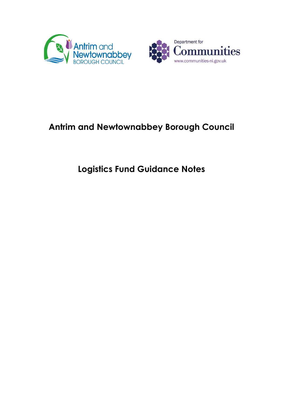



# **Antrim and Newtownabbey Borough Council**

# **Logistics Fund Guidance Notes**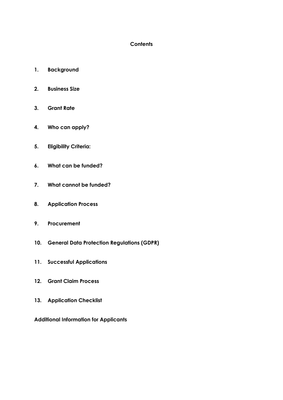#### **Contents**

- **1. Background**
- **2. Business Size**
- **3. Grant Rate**
- **4. Who can apply?**
- **5. Eligibility Criteria:**
- **6. What can be funded?**
- **7. What cannot be funded?**
- **8. Application Process**
- **9. Procurement**
- **10. General Data Protection Regulations (GDPR)**
- **11. Successful Applications**
- **12. Grant Claim Process**
- **13. Application Checklist**

**Additional Information for Applicants**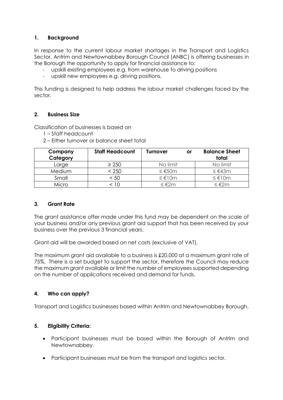# **1. Background**

In response to the current labour market shortages in the Transport and Logistics Sector, Antrim and Newtownabbey Borough Council (ANBC) is offering businesses in the Borough the opportunity to apply for financial assistance to:

- upskill existing employees e.g. from warehouse to driving positions
- upskill new employees e.g. driving positions.

This funding is designed to help address the labour market challenges faced by the sector.

#### **2. Business Size**

Classification of businesses is based on

- 1 Staff headcount
- 2 Either turnover or balance sheet total

| Company<br>Category | <b>Staff Headcount</b> | Turnover<br>or | <b>Balance Sheet</b><br>total |
|---------------------|------------------------|----------------|-------------------------------|
| Larae               | $\geq 250$             | No limit       | No limit                      |
| Medium              | < 250                  | ≤ $€50m$       | ≤ €43m                        |
| Small               | < 50                   | ≤ €10m         | ≤ $€10m$                      |
| Micro               | 10                     | ≤ $€2m$        | ≤€2m                          |

#### **3. Grant Rate**

The grant assistance offer made under this fund may be dependent on the scale of your business and/or any previous grant aid support that has been received by your business over the previous 3 financial years.

Grant aid will be awarded based on net costs (exclusive of VAT).

The maximum grant aid available to a business is £20,000 at a maximum grant rate of 75%. There is a set budget to support the sector, therefore the Council may reduce the maximum grant available or limit the number of employees supported depending on the number of applications received and demand for funds.

# **4. Who can apply?**

Transport and Logistics businesses based within Antrim and Newtownabbey Borough.

#### **5. Eligibility Criteria:**

- Participant businesses must be based within the Borough of Antrim and Newtownabbey.
- Participant businesses must be from the transport and logistics sector.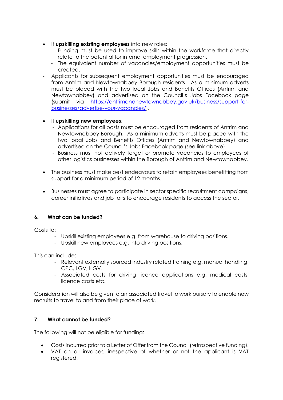- **If upskilling existing employees** into new roles:
	- Funding must be used to improve skills within the workforce that directly relate to the potential for internal employment progression.
	- The equivalent number of vacancies/employment opportunities must be created.
- Applicants for subsequent employment opportunities must be encouraged from Antrim and Newtownabbey Borough residents. As a minimum adverts must be placed with the two local Jobs and Benefits Offices (Antrim and Newtownabbey) and advertised on the Council's Jobs Facebook page (submit via [https://antrimandnewtownabbey.gov.uk/business/support-for](https://antrimandnewtownabbey.gov.uk/business/support-for-businesses/advertise-your-vacancies/)[businesses/advertise-your-vacancies/\)](https://antrimandnewtownabbey.gov.uk/business/support-for-businesses/advertise-your-vacancies/).

# If **upskilling new employees**:

- Applications for all posts must be encouraged from residents of Antrim and Newtownabbey Borough. As a minimum adverts must be placed with the two local Jobs and Benefits Offices (Antrim and Newtownabbey) and advertised on the Council's Jobs Facebook page (see link above).
- Business must not actively target or promote vacancies to employees of other logistics businesses within the Borough of Antrim and Newtownabbey.
- The business must make best endeavours to retain employees benefitting from support for a minimum period of 12 months.
- Businesses must agree to participate in sector specific recruitment campaigns, career initiatives and job fairs to encourage residents to access the sector.

# **6. What can be funded?**

Costs to:

- Upskill existing employees e.g. from warehouse to driving positions.
- Upskill new employees e.g. into driving positions.

This can include:

- Relevant externally sourced industry related training e.g. manual handling, CPC, LGV, HGV.
- Associated costs for driving licence applications e.g. medical costs, licence costs etc.

Consideration will also be given to an associated travel to work bursary to enable new recruits to travel to and from their place of work.

# **7. What cannot be funded?**

The following will not be eligible for funding:

- Costs incurred prior to a Letter of Offer from the Council (retrospective funding).
- VAT on all invoices, irrespective of whether or not the applicant is VAT registered.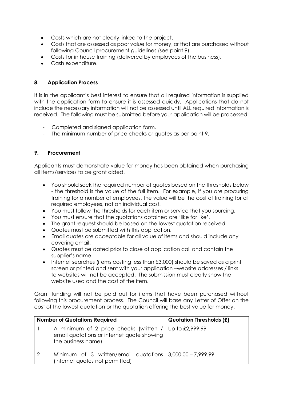- Costs which are not clearly linked to the project.
- Costs that are assessed as poor value for money, or that are purchased without following Council procurement guidelines (see point 9).
- Costs for in house training (delivered by employees of the business).
- Cash expenditure.

### **8. Application Process**

It is in the applicant's best interest to ensure that all required information is supplied with the application form to ensure it is assessed quickly. Applications that do not include the necessary information will not be assessed until ALL required information is received. The following must be submitted before your application will be processed:

- Completed and signed application form.
- The minimum number of price checks or quotes as per point 9.

#### **9. Procurement**

Applicants must demonstrate value for money has been obtained when purchasing all items/services to be grant aided.

- You should seek the required number of quotes based on the thresholds below - the threshold is the value of the full item. For example, if you are procuring training for a number of employees, the value will be the cost of training for all required employees, not an individual cost.
- You must follow the thresholds for each item or service that you sourcing.
- You must ensure that the quotations obtained are 'like for like'.
- The grant request should be based on the lowest quotation received.
- Quotes must be submitted with this application.
- Email quotes are acceptable for all value of items and should include any covering email.
- Quotes must be dated prior to close of application call and contain the supplier's name.
- Internet searches (items costing less than £3,000) should be saved as a print screen or printed and sent with your application –website addresses / links to websites will not be accepted. The submission must clearly show the website used and the cost of the item.

Grant funding will not be paid out for items that have been purchased without following this procurement process. The Council will base any Letter of Offer on the cost of the lowest quotation or the quotation offering the best value for money.

| <b>Number of Quotations Required</b>                                                                                       | <b>Quotation Thresholds (£)</b> |
|----------------------------------------------------------------------------------------------------------------------------|---------------------------------|
| A minimum of 2 price checks (written / Up to £2,999.99<br>email quotations or internet quote showing<br>the business name) |                                 |
| Minimum of 3 written/email quotations   3,000.00 - 7,999.99<br>(internet quotes not permitted)                             |                                 |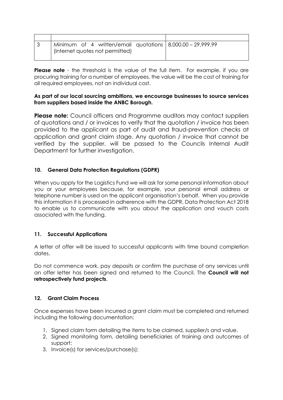| Minimum of 4 written/email quotations   8,000.00 - 29,999.99 |  |
|--------------------------------------------------------------|--|
| (internet quotes not permitted)                              |  |
|                                                              |  |

**Please note** - the threshold is the value of the full item. For example, if you are procuring training for a number of employees, the value will be the cost of training for all required employees, not an individual cost.

#### **As part of our local sourcing ambitions, we encourage businesses to source services from suppliers based inside the ANBC Borough.**

**Please note:** Council officers and Programme auditors may contact suppliers of quotations and / or invoices to verify that the quotation / invoice has been provided to the applicant as part of audit and fraud-prevention checks at application and grant claim stage. Any quotation / invoice that cannot be verified by the supplier, will be passed to the Councils Internal Audit Department for further investigation.

# **10. General Data Protection Regulations (GDPR)**

When you apply for the Logistics Fund we will ask for some personal information about you or your employees because, for example, your personal email address or telephone number is used on the applicant organisation's behalf. When you provide this information it is processed in adherence with the GDPR, Data Protection Act 2018 to enable us to communicate with you about the application and vouch costs associated with the funding.

#### **11. Successful Applications**

A letter of offer will be issued to successful applicants with time bound completion dates.

Do not commence work, pay deposits or confirm the purchase of any services until an offer letter has been signed and returned to the Council. The **Council will not retrospectively fund projects**.

#### **12. Grant Claim Process**

Once expenses have been incurred a grant claim must be completed and returned including the following documentation:

- 1. Signed claim form detailing the items to be claimed, supplier/s and value.
- 2. Signed monitoring form, detailing beneficiaries of training and outcomes of support;
- 3. Invoice(s) for services/purchase(s);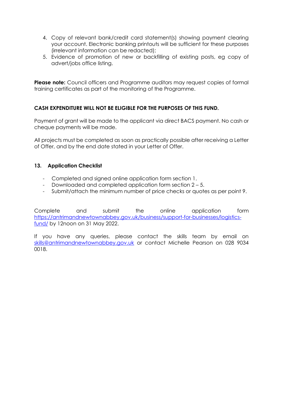- 4. Copy of relevant bank/credit card statement(s) showing payment clearing your account. Electronic banking printouts will be sufficient for these purposes (irrelevant information can be redacted);
- 5. Evidence of promotion of new or backfilling of existing posts, eg copy of advert/jobs office listing.

**Please note:** Council officers and Programme auditors may request copies of formal training certificates as part of the monitoring of the Programme.

#### **CASH EXPENDITURE WILL NOT BE ELIGIBLE FOR THE PURPOSES OF THIS FUND.**

Payment of grant will be made to the applicant via direct BACS payment. No cash or cheque payments will be made.

All projects must be completed as soon as practically possible after receiving a Letter of Offer, and by the end date stated in your Letter of Offer.

#### **13. Application Checklist**

- Completed and signed online application form section 1.
- Downloaded and completed application form section 2 5.
- Submit/attach the minimum number of price checks or quotes as per point 9.

Complete and submit the online application form [https://antrimandnewtownabbey.gov.uk/business/support-for-businesses/logistics](https://antrimandnewtownabbey.gov.uk/business/support-for-businesses/logistics-fund/)[fund/](https://antrimandnewtownabbey.gov.uk/business/support-for-businesses/logistics-fund/) by 12noon on 31 May 2022.

If you have any queries, please contact the skills team by email on [skills@antrimandnewtownabbey.gov.uk](mailto:skills@antrimandnewtownabbey.gov.uk) or contact Michelle Pearson on 028 9034 0018.